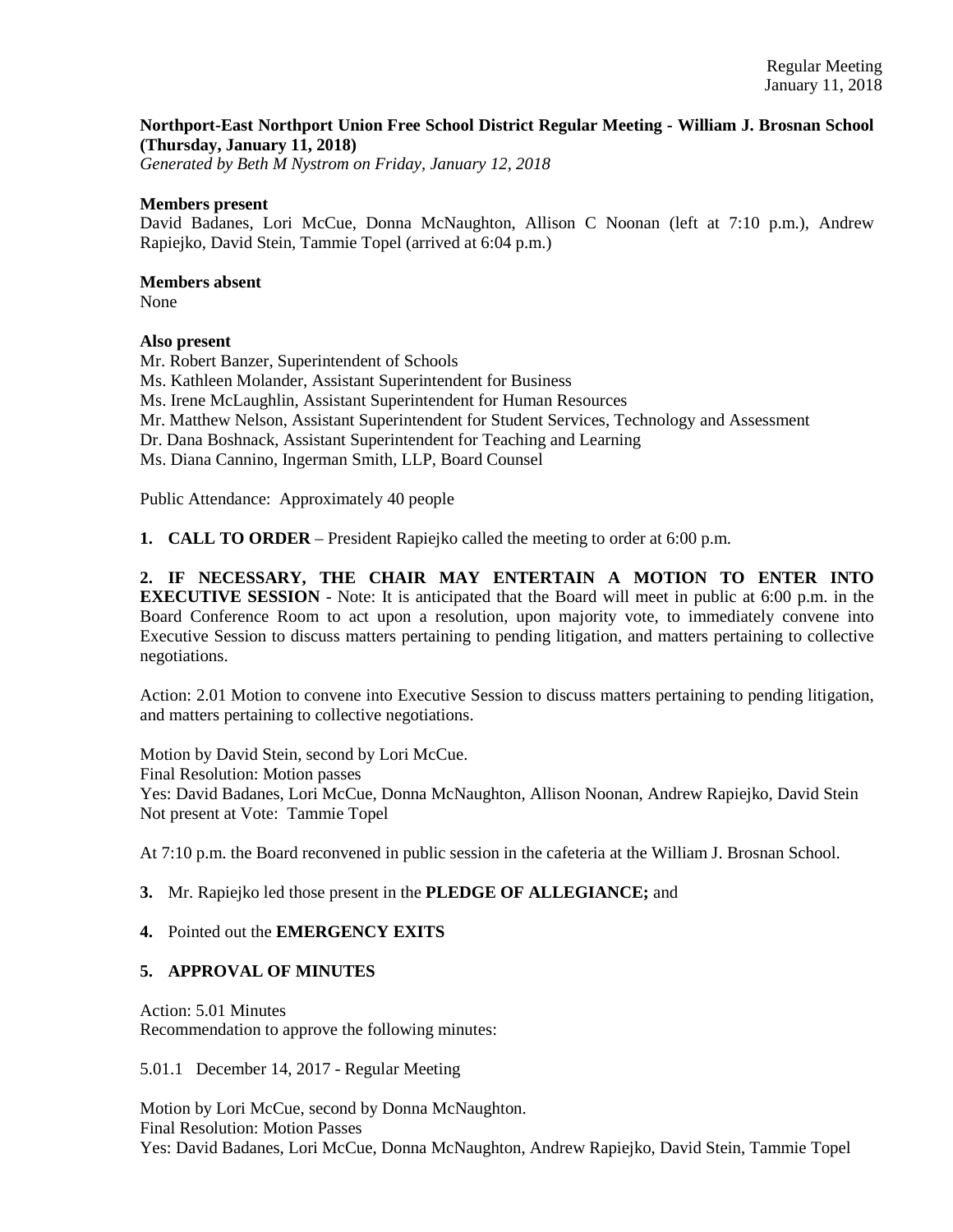## **Northport-East Northport Union Free School District Regular Meeting - William J. Brosnan School (Thursday, January 11, 2018)**

*Generated by Beth M Nystrom on Friday, January 12, 2018*

#### **Members present**

David Badanes, Lori McCue, Donna McNaughton, Allison C Noonan (left at 7:10 p.m.), Andrew Rapiejko, David Stein, Tammie Topel (arrived at 6:04 p.m.)

### **Members absent**

None

## **Also present**

Mr. Robert Banzer, Superintendent of Schools Ms. Kathleen Molander, Assistant Superintendent for Business Ms. Irene McLaughlin, Assistant Superintendent for Human Resources Mr. Matthew Nelson, Assistant Superintendent for Student Services, Technology and Assessment Dr. Dana Boshnack, Assistant Superintendent for Teaching and Learning Ms. Diana Cannino, Ingerman Smith, LLP, Board Counsel Public Attendance: Approximately 40 people

**1. CALL TO ORDER** – President Rapiejko called the meeting to order at 6:00 p.m.

**2. IF NECESSARY, THE CHAIR MAY ENTERTAIN A MOTION TO ENTER INTO EXECUTIVE SESSION** - Note: It is anticipated that the Board will meet in public at 6:00 p.m. in the Board Conference Room to act upon a resolution, upon majority vote, to immediately convene into Executive Session to discuss matters pertaining to pending litigation, and matters pertaining to collective negotiations.

Action: 2.01 Motion to convene into Executive Session to discuss matters pertaining to pending litigation, and matters pertaining to collective negotiations.

Motion by David Stein, second by Lori McCue. Final Resolution: Motion passes Yes: David Badanes, Lori McCue, Donna McNaughton, Allison Noonan, Andrew Rapiejko, David Stein Not present at Vote: Tammie Topel

At 7:10 p.m. the Board reconvened in public session in the cafeteria at the William J. Brosnan School.

## **3.** Mr. Rapiejko led those present in the **PLEDGE OF ALLEGIANCE;** and

## **4.** Pointed out the **EMERGENCY EXITS**

## **5. APPROVAL OF MINUTES**

Action: 5.01 Minutes Recommendation to approve the following minutes:

5.01.1 December 14, 2017 - Regular Meeting

Motion by Lori McCue, second by Donna McNaughton. Final Resolution: Motion Passes Yes: David Badanes, Lori McCue, Donna McNaughton, Andrew Rapiejko, David Stein, Tammie Topel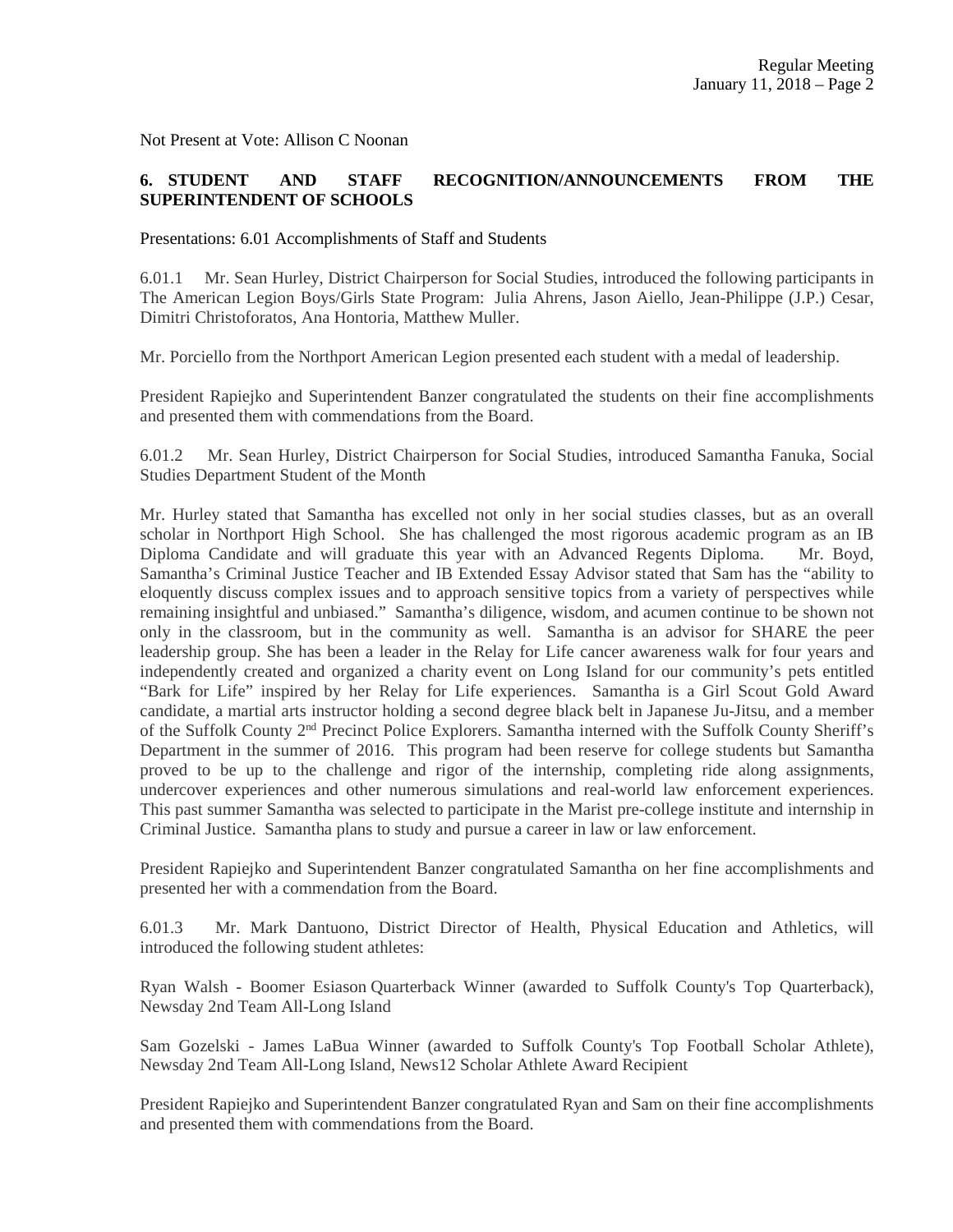Not Present at Vote: Allison C Noonan

# **6. STUDENT AND STAFF RECOGNITION/ANNOUNCEMENTS FROM THE SUPERINTENDENT OF SCHOOLS**

Presentations: 6.01 Accomplishments of Staff and Students

6.01.1 Mr. Sean Hurley, District Chairperson for Social Studies, introduced the following participants in The American Legion Boys/Girls State Program: Julia Ahrens, Jason Aiello, Jean-Philippe (J.P.) Cesar, Dimitri Christoforatos, Ana Hontoria, Matthew Muller.

Mr. Porciello from the Northport American Legion presented each student with a medal of leadership.

President Rapiejko and Superintendent Banzer congratulated the students on their fine accomplishments and presented them with commendations from the Board.

6.01.2 Mr. Sean Hurley, District Chairperson for Social Studies, introduced Samantha Fanuka, Social Studies Department Student of the Month

Mr. Hurley stated that Samantha has excelled not only in her social studies classes, but as an overall scholar in Northport High School. She has challenged the most rigorous academic program as an IB Diploma Candidate and will graduate this year with an Advanced Regents Diploma. Mr. Boyd, Samantha's Criminal Justice Teacher and IB Extended Essay Advisor stated that Sam has the "ability to eloquently discuss complex issues and to approach sensitive topics from a variety of perspectives while remaining insightful and unbiased." Samantha's diligence, wisdom, and acumen continue to be shown not only in the classroom, but in the community as well. Samantha is an advisor for SHARE the peer leadership group. She has been a leader in the Relay for Life cancer awareness walk for four years and independently created and organized a charity event on Long Island for our community's pets entitled "Bark for Life" inspired by her Relay for Life experiences. Samantha is a Girl Scout Gold Award candidate, a martial arts instructor holding a second degree black belt in Japanese Ju-Jitsu, and a member of the Suffolk County 2nd Precinct Police Explorers. Samantha interned with the Suffolk County Sheriff's Department in the summer of 2016. This program had been reserve for college students but Samantha proved to be up to the challenge and rigor of the internship, completing ride along assignments, undercover experiences and other numerous simulations and real-world law enforcement experiences. This past summer Samantha was selected to participate in the Marist pre-college institute and internship in Criminal Justice. Samantha plans to study and pursue a career in law or law enforcement.

President Rapiejko and Superintendent Banzer congratulated Samantha on her fine accomplishments and presented her with a commendation from the Board.

6.01.3 Mr. Mark Dantuono, District Director of Health, Physical Education and Athletics, will introduced the following student athletes:

Ryan Walsh - Boomer Esiason Quarterback Winner (awarded to Suffolk County's Top Quarterback), Newsday 2nd Team All-Long Island

Sam Gozelski - James LaBua Winner (awarded to Suffolk County's Top Football Scholar Athlete), Newsday 2nd Team All-Long Island, News12 Scholar Athlete Award Recipient

President Rapiejko and Superintendent Banzer congratulated Ryan and Sam on their fine accomplishments and presented them with commendations from the Board.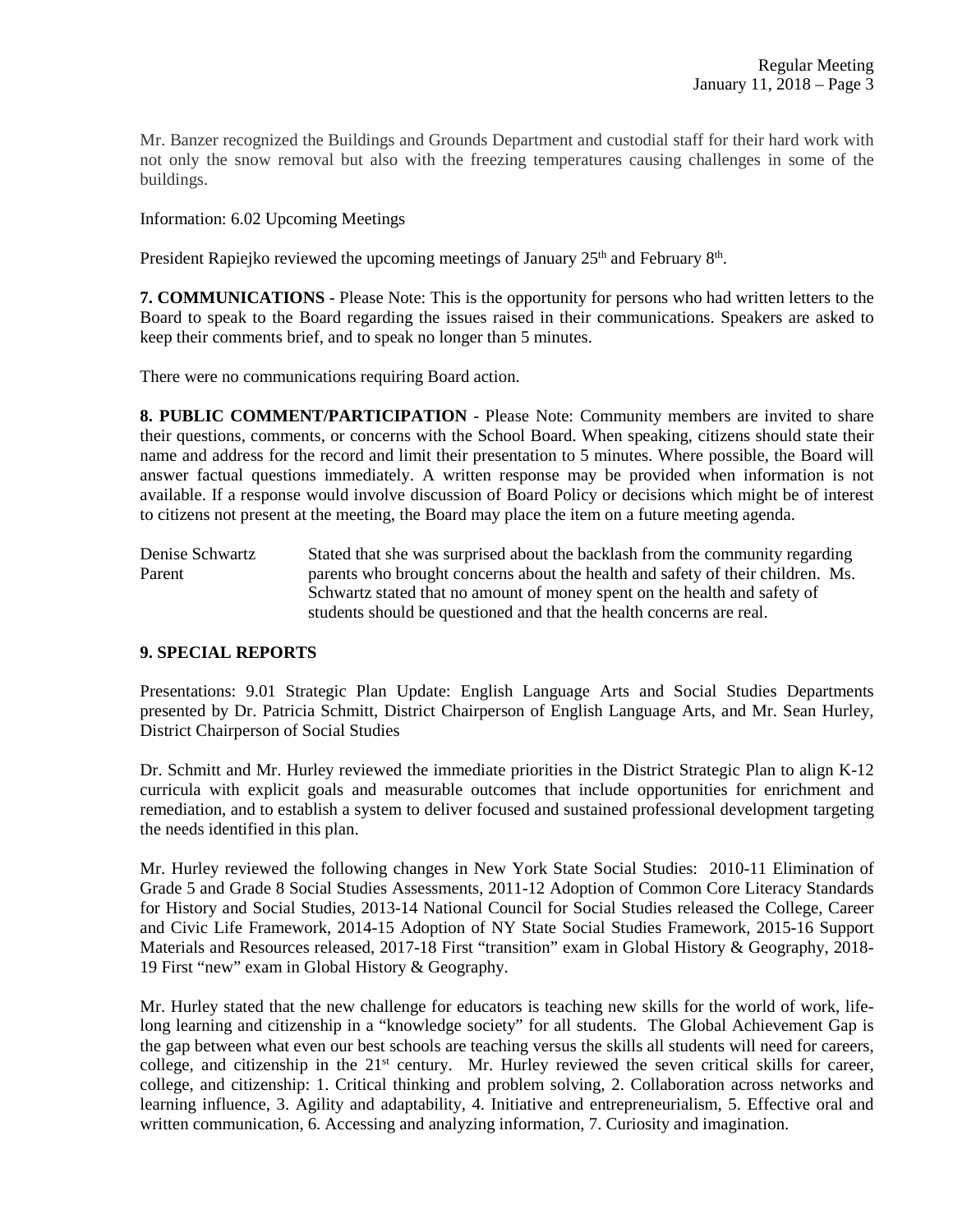Mr. Banzer recognized the Buildings and Grounds Department and custodial staff for their hard work with not only the snow removal but also with the freezing temperatures causing challenges in some of the buildings.

Information: 6.02 Upcoming Meetings

President Rapiejko reviewed the upcoming meetings of January  $25<sup>th</sup>$  and February  $8<sup>th</sup>$ .

**7. COMMUNICATIONS** - Please Note: This is the opportunity for persons who had written letters to the Board to speak to the Board regarding the issues raised in their communications. Speakers are asked to keep their comments brief, and to speak no longer than 5 minutes.

There were no communications requiring Board action.

**8. PUBLIC COMMENT/PARTICIPATION** - Please Note: Community members are invited to share their questions, comments, or concerns with the School Board. When speaking, citizens should state their name and address for the record and limit their presentation to 5 minutes. Where possible, the Board will answer factual questions immediately. A written response may be provided when information is not available. If a response would involve discussion of Board Policy or decisions which might be of interest to citizens not present at the meeting, the Board may place the item on a future meeting agenda.

Denise Schwartz Stated that she was surprised about the backlash from the community regarding Parent parents who brought concerns about the health and safety of their children. Ms. Schwartz stated that no amount of money spent on the health and safety of students should be questioned and that the health concerns are real.

## **9. SPECIAL REPORTS**

Presentations: 9.01 Strategic Plan Update: English Language Arts and Social Studies Departments presented by Dr. Patricia Schmitt, District Chairperson of English Language Arts, and Mr. Sean Hurley, District Chairperson of Social Studies

Dr. Schmitt and Mr. Hurley reviewed the immediate priorities in the District Strategic Plan to align K-12 curricula with explicit goals and measurable outcomes that include opportunities for enrichment and remediation, and to establish a system to deliver focused and sustained professional development targeting the needs identified in this plan.

Mr. Hurley reviewed the following changes in New York State Social Studies: 2010-11 Elimination of Grade 5 and Grade 8 Social Studies Assessments, 2011-12 Adoption of Common Core Literacy Standards for History and Social Studies, 2013-14 National Council for Social Studies released the College, Career and Civic Life Framework, 2014-15 Adoption of NY State Social Studies Framework, 2015-16 Support Materials and Resources released, 2017-18 First "transition" exam in Global History & Geography, 2018- 19 First "new" exam in Global History & Geography.

Mr. Hurley stated that the new challenge for educators is teaching new skills for the world of work, lifelong learning and citizenship in a "knowledge society" for all students. The Global Achievement Gap is the gap between what even our best schools are teaching versus the skills all students will need for careers, college, and citizenship in the  $21<sup>st</sup>$  century. Mr. Hurley reviewed the seven critical skills for career, college, and citizenship: 1. Critical thinking and problem solving, 2. Collaboration across networks and learning influence, 3. Agility and adaptability, 4. Initiative and entrepreneurialism, 5. Effective oral and written communication, 6. Accessing and analyzing information, 7. Curiosity and imagination.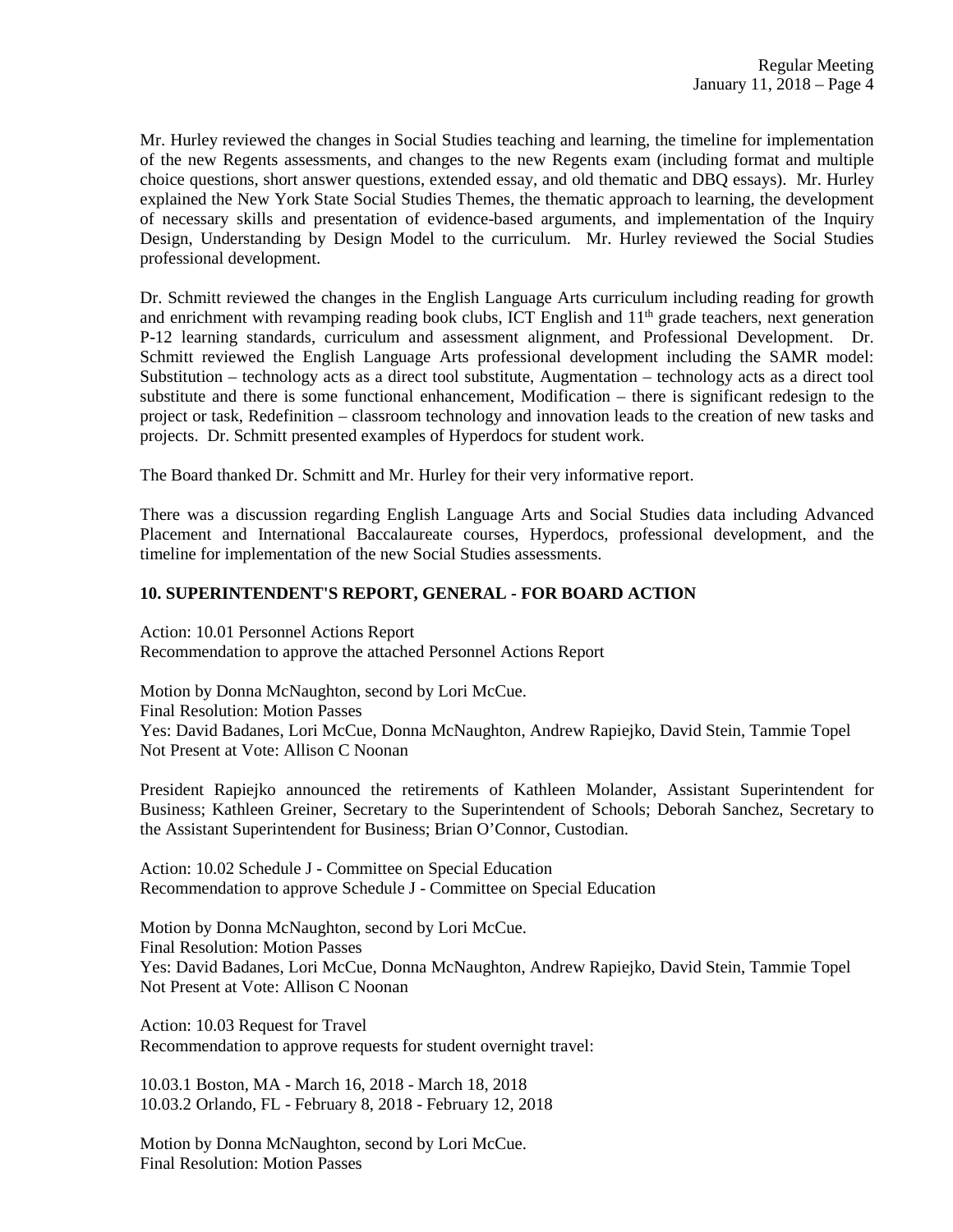Mr. Hurley reviewed the changes in Social Studies teaching and learning, the timeline for implementation of the new Regents assessments, and changes to the new Regents exam (including format and multiple choice questions, short answer questions, extended essay, and old thematic and DBQ essays). Mr. Hurley explained the New York State Social Studies Themes, the thematic approach to learning, the development of necessary skills and presentation of evidence-based arguments, and implementation of the Inquiry Design, Understanding by Design Model to the curriculum. Mr. Hurley reviewed the Social Studies professional development.

Dr. Schmitt reviewed the changes in the English Language Arts curriculum including reading for growth and enrichment with revamping reading book clubs, ICT English and  $11<sup>th</sup>$  grade teachers, next generation P-12 learning standards, curriculum and assessment alignment, and Professional Development. Dr. Schmitt reviewed the English Language Arts professional development including the SAMR model: Substitution – technology acts as a direct tool substitute, Augmentation – technology acts as a direct tool substitute and there is some functional enhancement, Modification – there is significant redesign to the project or task, Redefinition – classroom technology and innovation leads to the creation of new tasks and projects. Dr. Schmitt presented examples of Hyperdocs for student work.

The Board thanked Dr. Schmitt and Mr. Hurley for their very informative report.

There was a discussion regarding English Language Arts and Social Studies data including Advanced Placement and International Baccalaureate courses, Hyperdocs, professional development, and the timeline for implementation of the new Social Studies assessments.

### **10. SUPERINTENDENT'S REPORT, GENERAL - FOR BOARD ACTION**

Action: 10.01 Personnel Actions Report Recommendation to approve the attached Personnel Actions Report

Motion by Donna McNaughton, second by Lori McCue. Final Resolution: Motion Passes Yes: David Badanes, Lori McCue, Donna McNaughton, Andrew Rapiejko, David Stein, Tammie Topel Not Present at Vote: Allison C Noonan

President Rapiejko announced the retirements of Kathleen Molander, Assistant Superintendent for Business; Kathleen Greiner, Secretary to the Superintendent of Schools; Deborah Sanchez, Secretary to the Assistant Superintendent for Business; Brian O'Connor, Custodian.

Action: 10.02 Schedule J - Committee on Special Education Recommendation to approve Schedule J - Committee on Special Education

Motion by Donna McNaughton, second by Lori McCue. Final Resolution: Motion Passes Yes: David Badanes, Lori McCue, Donna McNaughton, Andrew Rapiejko, David Stein, Tammie Topel Not Present at Vote: Allison C Noonan

Action: 10.03 Request for Travel Recommendation to approve requests for student overnight travel:

10.03.1 Boston, MA - March 16, 2018 - March 18, 2018 10.03.2 Orlando, FL - February 8, 2018 - February 12, 2018

Motion by Donna McNaughton, second by Lori McCue. Final Resolution: Motion Passes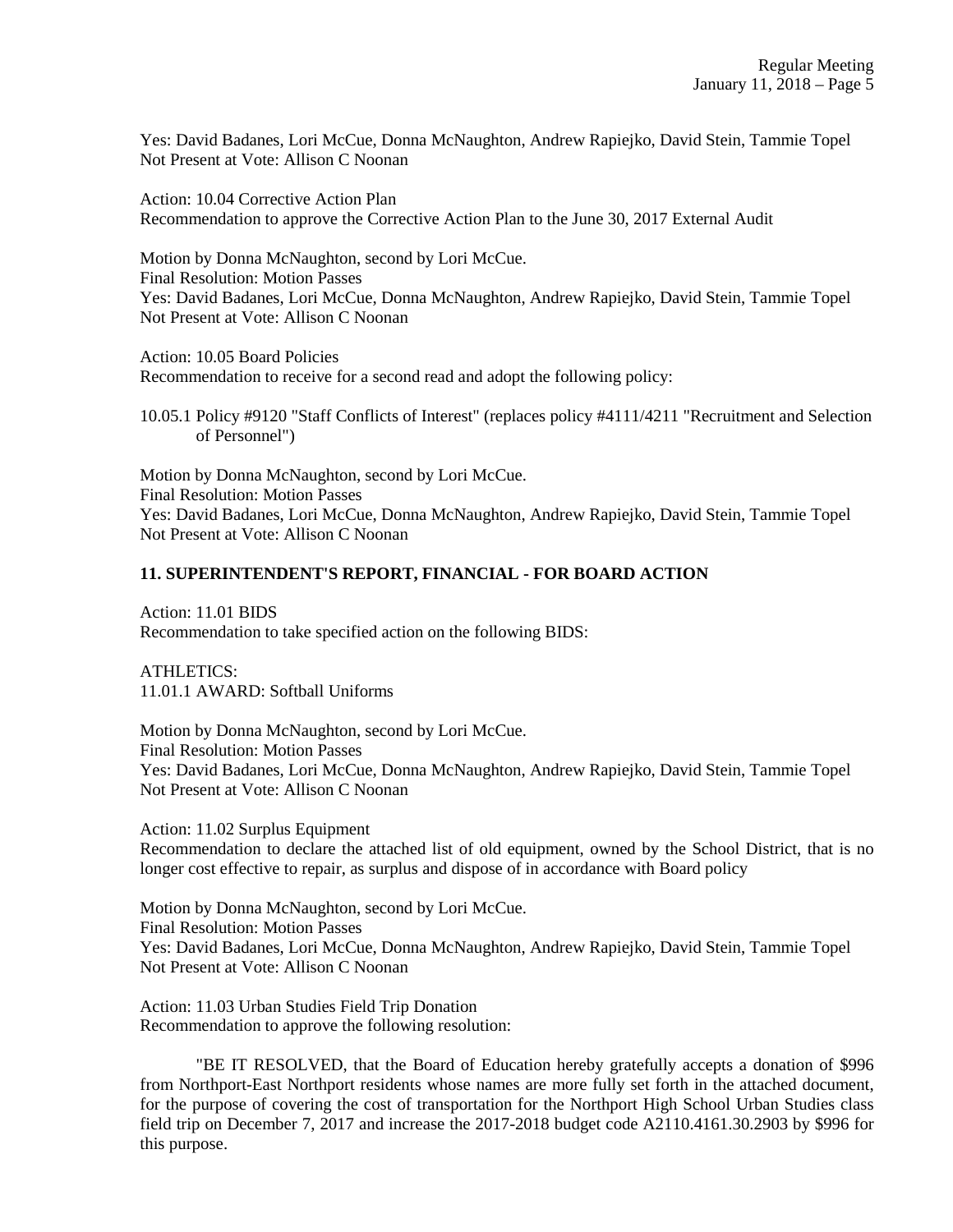Yes: David Badanes, Lori McCue, Donna McNaughton, Andrew Rapiejko, David Stein, Tammie Topel Not Present at Vote: Allison C Noonan

Action: 10.04 Corrective Action Plan Recommendation to approve the Corrective Action Plan to the June 30, 2017 External Audit

Motion by Donna McNaughton, second by Lori McCue. Final Resolution: Motion Passes Yes: David Badanes, Lori McCue, Donna McNaughton, Andrew Rapiejko, David Stein, Tammie Topel Not Present at Vote: Allison C Noonan

Action: 10.05 Board Policies Recommendation to receive for a second read and adopt the following policy:

10.05.1 Policy #9120 "Staff Conflicts of Interest" (replaces policy #4111/4211 "Recruitment and Selection of Personnel")

Motion by Donna McNaughton, second by Lori McCue. Final Resolution: Motion Passes Yes: David Badanes, Lori McCue, Donna McNaughton, Andrew Rapiejko, David Stein, Tammie Topel Not Present at Vote: Allison C Noonan

# **11. SUPERINTENDENT'S REPORT, FINANCIAL - FOR BOARD ACTION**

Action: 11.01 BIDS Recommendation to take specified action on the following BIDS:

ATHLETICS: 11.01.1 AWARD: Softball Uniforms

Motion by Donna McNaughton, second by Lori McCue. Final Resolution: Motion Passes Yes: David Badanes, Lori McCue, Donna McNaughton, Andrew Rapiejko, David Stein, Tammie Topel Not Present at Vote: Allison C Noonan

Action: 11.02 Surplus Equipment Recommendation to declare the attached list of old equipment, owned by the School District, that is no longer cost effective to repair, as surplus and dispose of in accordance with Board policy

Motion by Donna McNaughton, second by Lori McCue. Final Resolution: Motion Passes Yes: David Badanes, Lori McCue, Donna McNaughton, Andrew Rapiejko, David Stein, Tammie Topel Not Present at Vote: Allison C Noonan

Action: 11.03 Urban Studies Field Trip Donation Recommendation to approve the following resolution:

"BE IT RESOLVED, that the Board of Education hereby gratefully accepts a donation of \$996 from Northport-East Northport residents whose names are more fully set forth in the attached document, for the purpose of covering the cost of transportation for the Northport High School Urban Studies class field trip on December 7, 2017 and increase the 2017-2018 budget code A2110.4161.30.2903 by \$996 for this purpose.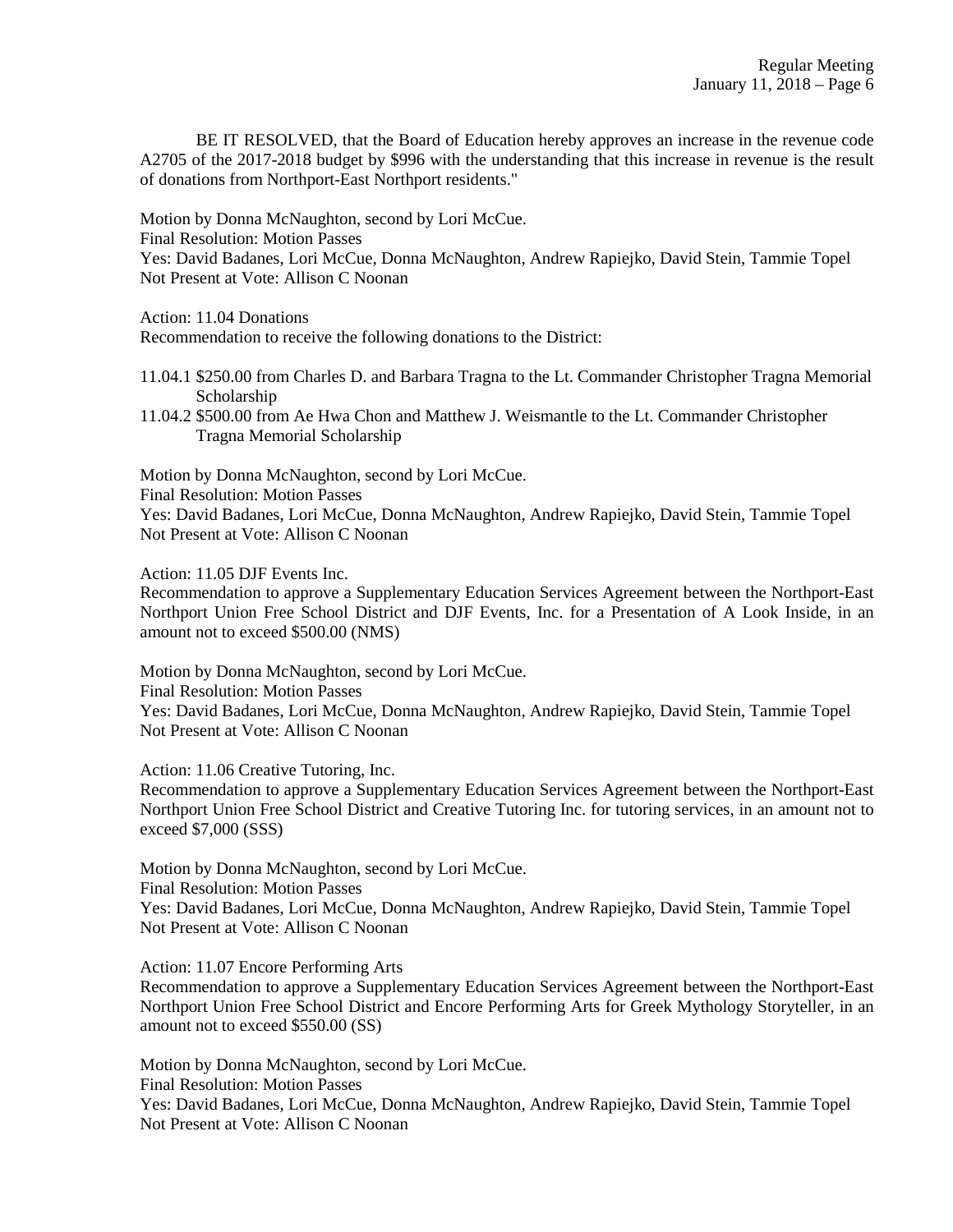BE IT RESOLVED, that the Board of Education hereby approves an increase in the revenue code A2705 of the 2017-2018 budget by \$996 with the understanding that this increase in revenue is the result of donations from Northport-East Northport residents."

Motion by Donna McNaughton, second by Lori McCue. Final Resolution: Motion Passes Yes: David Badanes, Lori McCue, Donna McNaughton, Andrew Rapiejko, David Stein, Tammie Topel Not Present at Vote: Allison C Noonan

Action: 11.04 Donations

Recommendation to receive the following donations to the District:

- 11.04.1 \$250.00 from Charles D. and Barbara Tragna to the Lt. Commander Christopher Tragna Memorial Scholarship
- 11.04.2 \$500.00 from Ae Hwa Chon and Matthew J. Weismantle to the Lt. Commander Christopher Tragna Memorial Scholarship

Motion by Donna McNaughton, second by Lori McCue. Final Resolution: Motion Passes Yes: David Badanes, Lori McCue, Donna McNaughton, Andrew Rapiejko, David Stein, Tammie Topel Not Present at Vote: Allison C Noonan

Action: 11.05 DJF Events Inc.

Recommendation to approve a Supplementary Education Services Agreement between the Northport-East Northport Union Free School District and DJF Events, Inc. for a Presentation of A Look Inside, in an amount not to exceed \$500.00 (NMS)

Motion by Donna McNaughton, second by Lori McCue. Final Resolution: Motion Passes Yes: David Badanes, Lori McCue, Donna McNaughton, Andrew Rapiejko, David Stein, Tammie Topel Not Present at Vote: Allison C Noonan

Action: 11.06 Creative Tutoring, Inc.

Recommendation to approve a Supplementary Education Services Agreement between the Northport-East Northport Union Free School District and Creative Tutoring Inc. for tutoring services, in an amount not to exceed \$7,000 (SSS)

Motion by Donna McNaughton, second by Lori McCue. Final Resolution: Motion Passes Yes: David Badanes, Lori McCue, Donna McNaughton, Andrew Rapiejko, David Stein, Tammie Topel Not Present at Vote: Allison C Noonan

Action: 11.07 Encore Performing Arts

Recommendation to approve a Supplementary Education Services Agreement between the Northport-East Northport Union Free School District and Encore Performing Arts for Greek Mythology Storyteller, in an amount not to exceed \$550.00 (SS)

Motion by Donna McNaughton, second by Lori McCue. Final Resolution: Motion Passes Yes: David Badanes, Lori McCue, Donna McNaughton, Andrew Rapiejko, David Stein, Tammie Topel Not Present at Vote: Allison C Noonan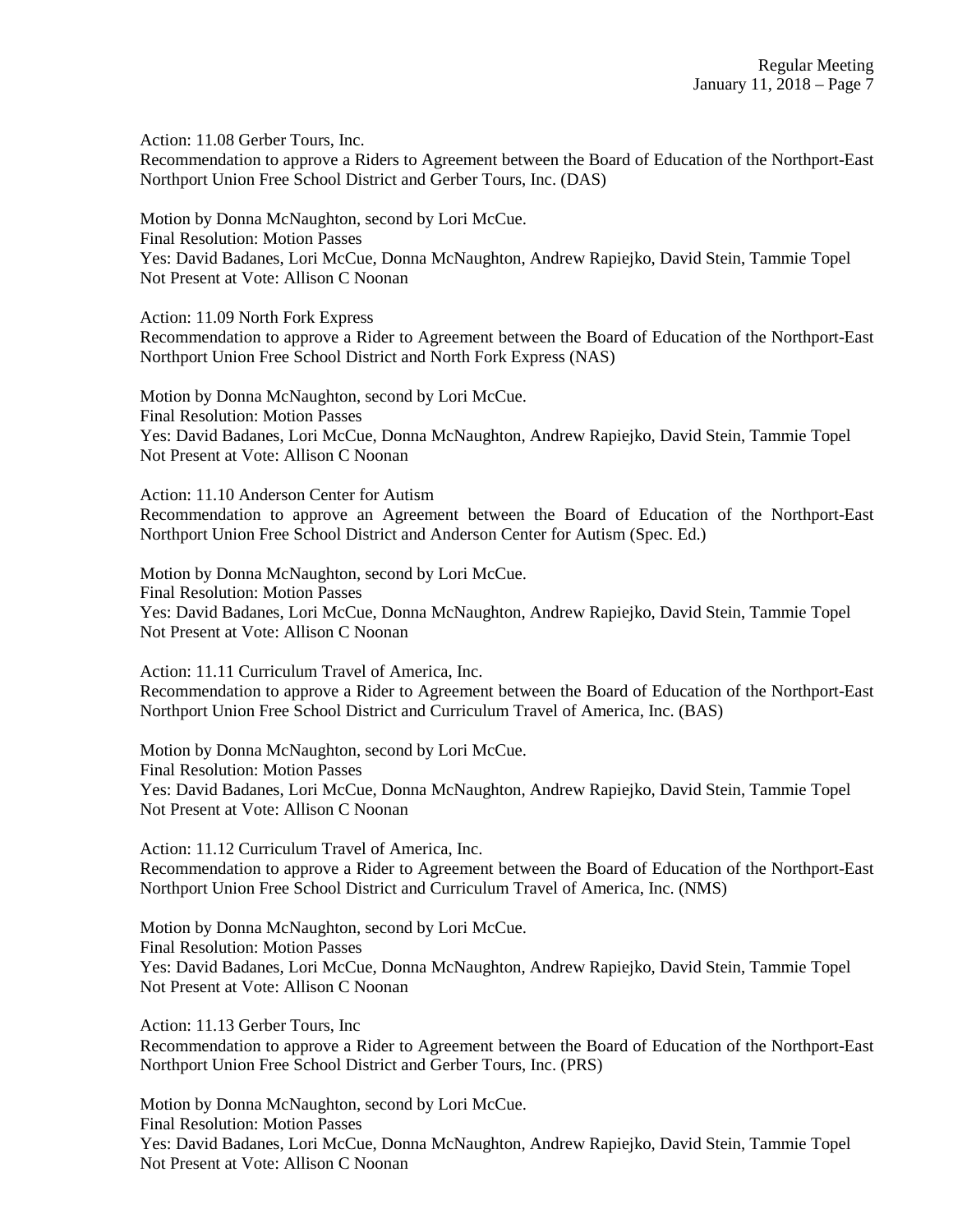Action: 11.08 Gerber Tours, Inc.

Recommendation to approve a Riders to Agreement between the Board of Education of the Northport-East Northport Union Free School District and Gerber Tours, Inc. (DAS)

Motion by Donna McNaughton, second by Lori McCue. Final Resolution: Motion Passes Yes: David Badanes, Lori McCue, Donna McNaughton, Andrew Rapiejko, David Stein, Tammie Topel Not Present at Vote: Allison C Noonan

Action: 11.09 North Fork Express

Recommendation to approve a Rider to Agreement between the Board of Education of the Northport-East Northport Union Free School District and North Fork Express (NAS)

Motion by Donna McNaughton, second by Lori McCue. Final Resolution: Motion Passes Yes: David Badanes, Lori McCue, Donna McNaughton, Andrew Rapiejko, David Stein, Tammie Topel Not Present at Vote: Allison C Noonan

Action: 11.10 Anderson Center for Autism

Recommendation to approve an Agreement between the Board of Education of the Northport-East Northport Union Free School District and Anderson Center for Autism (Spec. Ed.)

Motion by Donna McNaughton, second by Lori McCue. Final Resolution: Motion Passes Yes: David Badanes, Lori McCue, Donna McNaughton, Andrew Rapiejko, David Stein, Tammie Topel Not Present at Vote: Allison C Noonan

Action: 11.11 Curriculum Travel of America, Inc. Recommendation to approve a Rider to Agreement between the Board of Education of the Northport-East Northport Union Free School District and Curriculum Travel of America, Inc. (BAS)

Motion by Donna McNaughton, second by Lori McCue. Final Resolution: Motion Passes Yes: David Badanes, Lori McCue, Donna McNaughton, Andrew Rapiejko, David Stein, Tammie Topel Not Present at Vote: Allison C Noonan

Action: 11.12 Curriculum Travel of America, Inc. Recommendation to approve a Rider to Agreement between the Board of Education of the Northport-East Northport Union Free School District and Curriculum Travel of America, Inc. (NMS)

Motion by Donna McNaughton, second by Lori McCue. Final Resolution: Motion Passes Yes: David Badanes, Lori McCue, Donna McNaughton, Andrew Rapiejko, David Stein, Tammie Topel Not Present at Vote: Allison C Noonan

Action: 11.13 Gerber Tours, Inc Recommendation to approve a Rider to Agreement between the Board of Education of the Northport-East Northport Union Free School District and Gerber Tours, Inc. (PRS)

Motion by Donna McNaughton, second by Lori McCue. Final Resolution: Motion Passes Yes: David Badanes, Lori McCue, Donna McNaughton, Andrew Rapiejko, David Stein, Tammie Topel Not Present at Vote: Allison C Noonan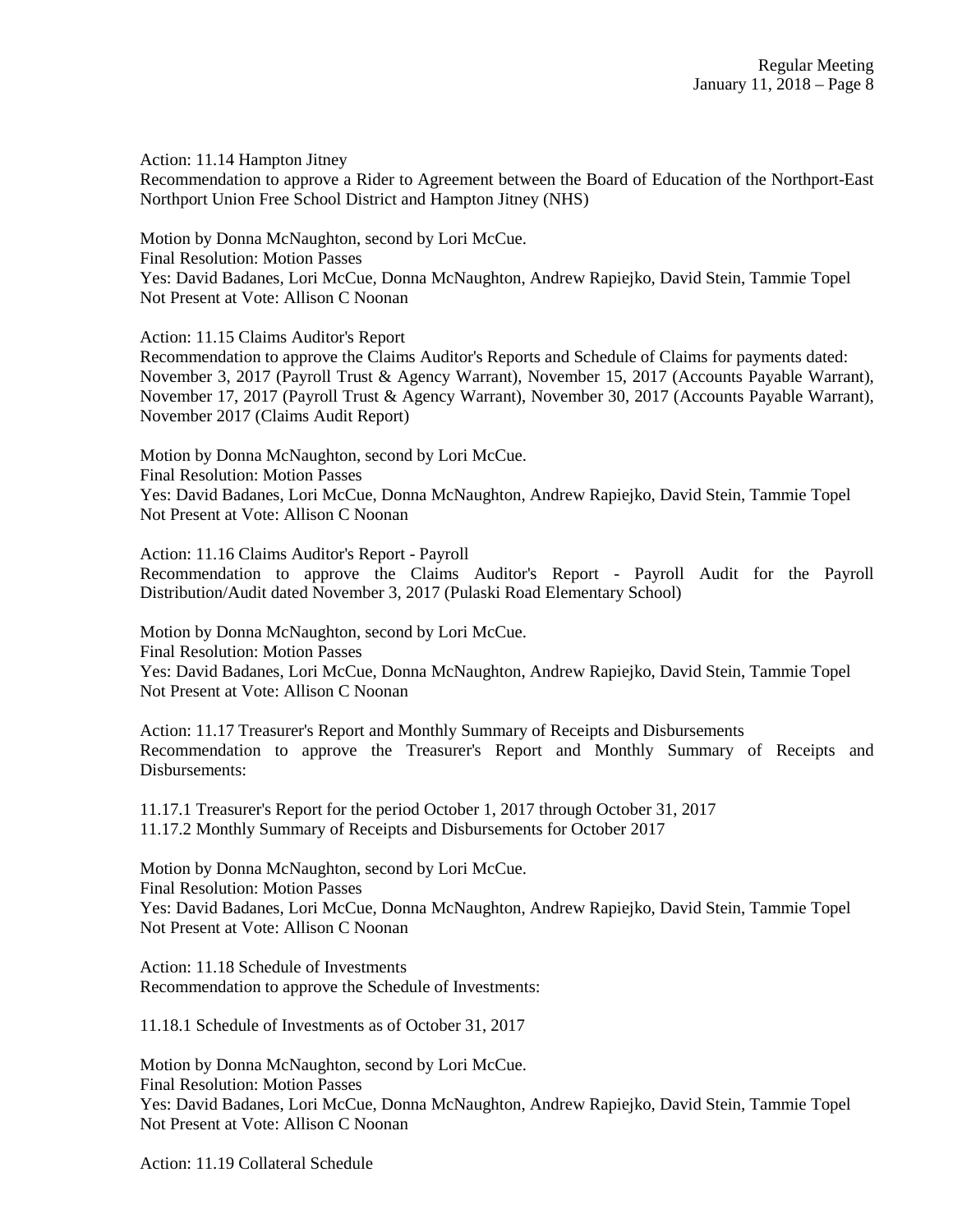Action: 11.14 Hampton Jitney

Recommendation to approve a Rider to Agreement between the Board of Education of the Northport-East Northport Union Free School District and Hampton Jitney (NHS)

Motion by Donna McNaughton, second by Lori McCue. Final Resolution: Motion Passes Yes: David Badanes, Lori McCue, Donna McNaughton, Andrew Rapiejko, David Stein, Tammie Topel Not Present at Vote: Allison C Noonan

Action: 11.15 Claims Auditor's Report

Recommendation to approve the Claims Auditor's Reports and Schedule of Claims for payments dated: November 3, 2017 (Payroll Trust & Agency Warrant), November 15, 2017 (Accounts Payable Warrant), November 17, 2017 (Payroll Trust & Agency Warrant), November 30, 2017 (Accounts Payable Warrant), November 2017 (Claims Audit Report)

Motion by Donna McNaughton, second by Lori McCue. Final Resolution: Motion Passes Yes: David Badanes, Lori McCue, Donna McNaughton, Andrew Rapiejko, David Stein, Tammie Topel Not Present at Vote: Allison C Noonan

Action: 11.16 Claims Auditor's Report - Payroll Recommendation to approve the Claims Auditor's Report - Payroll Audit for the Payroll Distribution/Audit dated November 3, 2017 (Pulaski Road Elementary School)

Motion by Donna McNaughton, second by Lori McCue. Final Resolution: Motion Passes Yes: David Badanes, Lori McCue, Donna McNaughton, Andrew Rapiejko, David Stein, Tammie Topel Not Present at Vote: Allison C Noonan

Action: 11.17 Treasurer's Report and Monthly Summary of Receipts and Disbursements Recommendation to approve the Treasurer's Report and Monthly Summary of Receipts and Disbursements:

11.17.1 Treasurer's Report for the period October 1, 2017 through October 31, 2017 11.17.2 Monthly Summary of Receipts and Disbursements for October 2017

Motion by Donna McNaughton, second by Lori McCue. Final Resolution: Motion Passes Yes: David Badanes, Lori McCue, Donna McNaughton, Andrew Rapiejko, David Stein, Tammie Topel Not Present at Vote: Allison C Noonan

Action: 11.18 Schedule of Investments Recommendation to approve the Schedule of Investments:

11.18.1 Schedule of Investments as of October 31, 2017

Motion by Donna McNaughton, second by Lori McCue. Final Resolution: Motion Passes Yes: David Badanes, Lori McCue, Donna McNaughton, Andrew Rapiejko, David Stein, Tammie Topel Not Present at Vote: Allison C Noonan

Action: 11.19 Collateral Schedule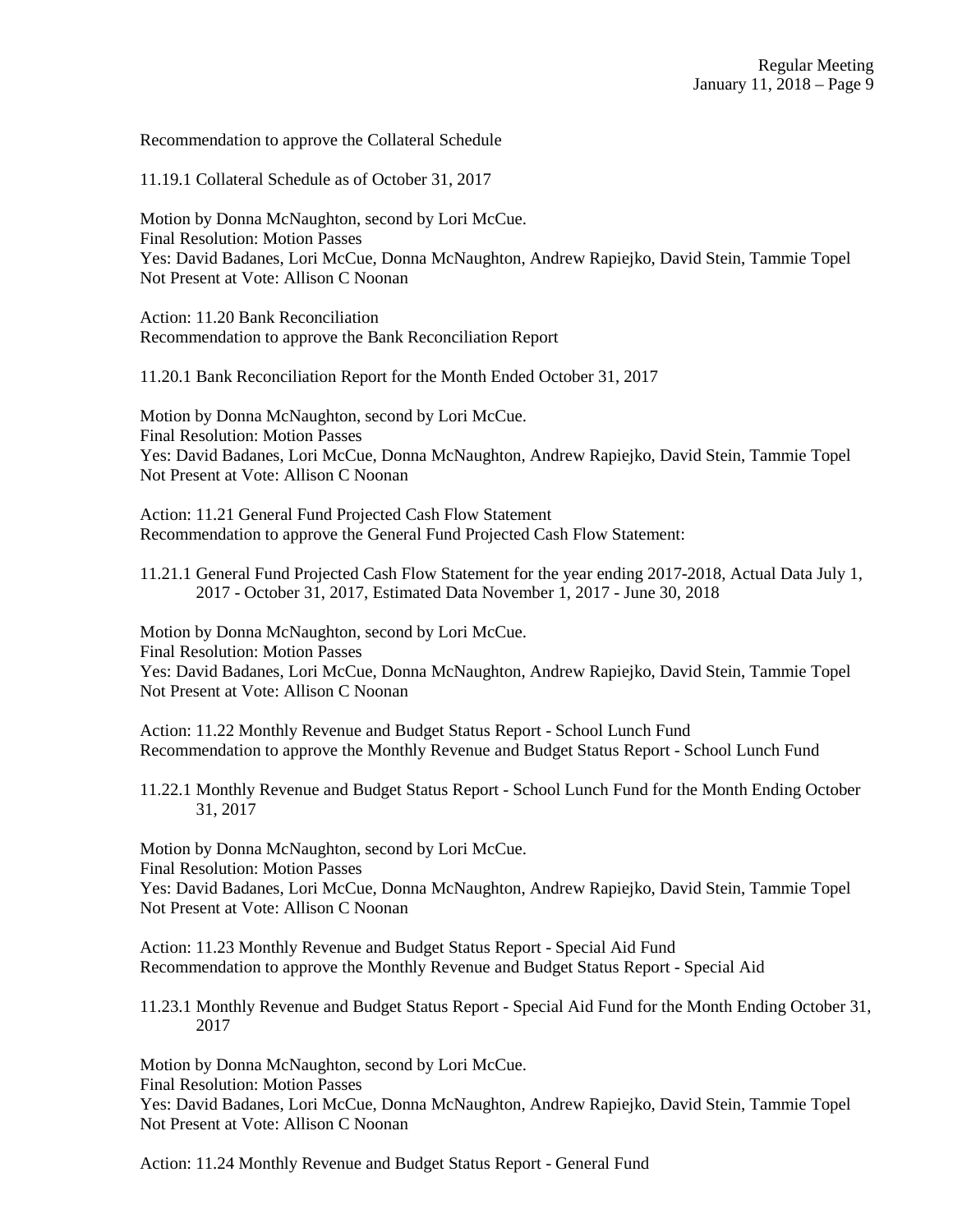Recommendation to approve the Collateral Schedule

11.19.1 Collateral Schedule as of October 31, 2017

Motion by Donna McNaughton, second by Lori McCue. Final Resolution: Motion Passes Yes: David Badanes, Lori McCue, Donna McNaughton, Andrew Rapiejko, David Stein, Tammie Topel Not Present at Vote: Allison C Noonan

Action: 11.20 Bank Reconciliation Recommendation to approve the Bank Reconciliation Report

11.20.1 Bank Reconciliation Report for the Month Ended October 31, 2017

Motion by Donna McNaughton, second by Lori McCue. Final Resolution: Motion Passes Yes: David Badanes, Lori McCue, Donna McNaughton, Andrew Rapiejko, David Stein, Tammie Topel Not Present at Vote: Allison C Noonan

Action: 11.21 General Fund Projected Cash Flow Statement Recommendation to approve the General Fund Projected Cash Flow Statement:

11.21.1 General Fund Projected Cash Flow Statement for the year ending 2017-2018, Actual Data July 1, 2017 - October 31, 2017, Estimated Data November 1, 2017 - June 30, 2018

Motion by Donna McNaughton, second by Lori McCue. Final Resolution: Motion Passes Yes: David Badanes, Lori McCue, Donna McNaughton, Andrew Rapiejko, David Stein, Tammie Topel Not Present at Vote: Allison C Noonan

Action: 11.22 Monthly Revenue and Budget Status Report - School Lunch Fund Recommendation to approve the Monthly Revenue and Budget Status Report - School Lunch Fund

11.22.1 Monthly Revenue and Budget Status Report - School Lunch Fund for the Month Ending October 31, 2017

Motion by Donna McNaughton, second by Lori McCue. Final Resolution: Motion Passes

Yes: David Badanes, Lori McCue, Donna McNaughton, Andrew Rapiejko, David Stein, Tammie Topel Not Present at Vote: Allison C Noonan

Action: 11.23 Monthly Revenue and Budget Status Report - Special Aid Fund Recommendation to approve the Monthly Revenue and Budget Status Report - Special Aid

11.23.1 Monthly Revenue and Budget Status Report - Special Aid Fund for the Month Ending October 31, 2017

Motion by Donna McNaughton, second by Lori McCue.

Final Resolution: Motion Passes

Yes: David Badanes, Lori McCue, Donna McNaughton, Andrew Rapiejko, David Stein, Tammie Topel Not Present at Vote: Allison C Noonan

Action: 11.24 Monthly Revenue and Budget Status Report - General Fund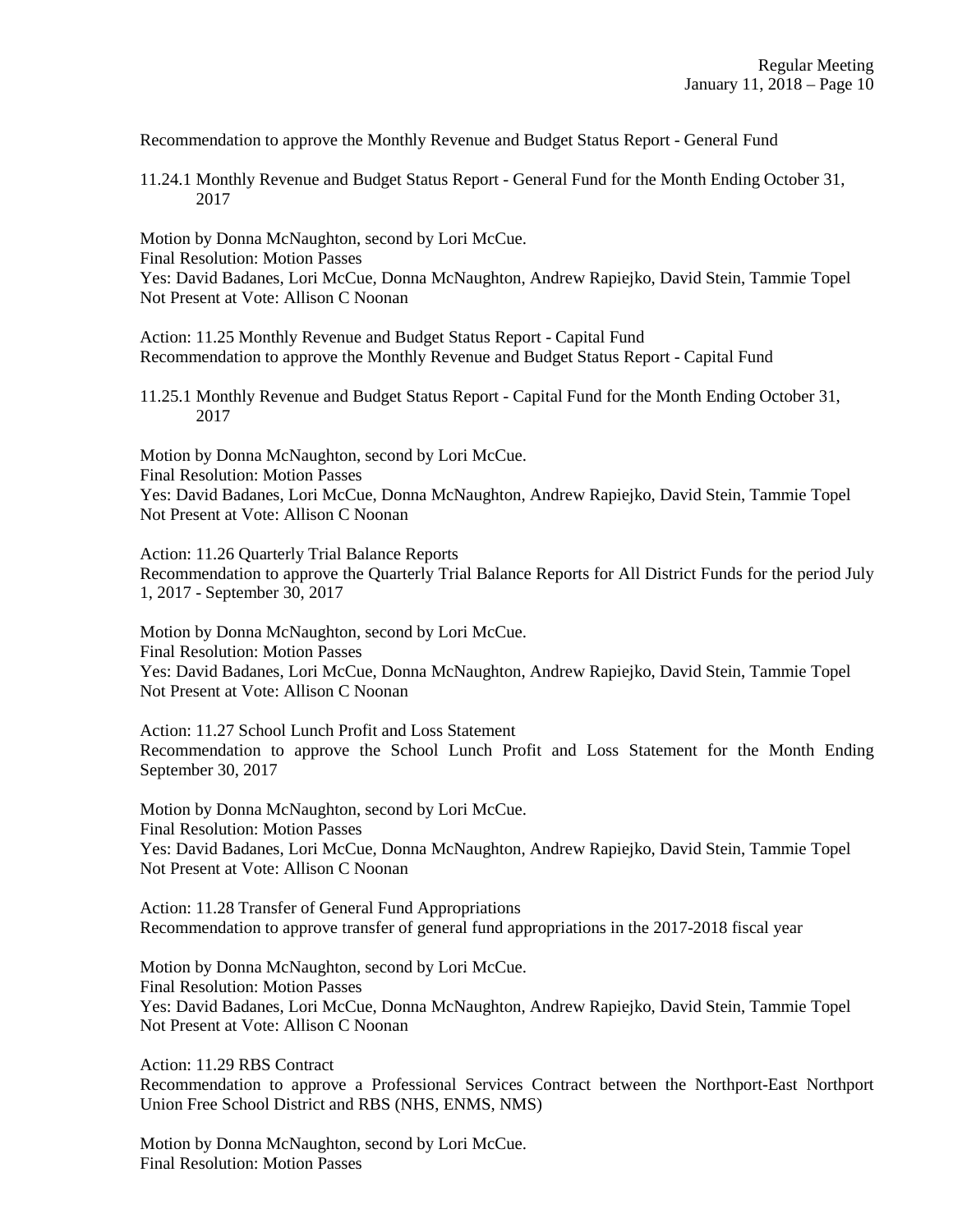Recommendation to approve the Monthly Revenue and Budget Status Report - General Fund

11.24.1 Monthly Revenue and Budget Status Report - General Fund for the Month Ending October 31, 2017

Motion by Donna McNaughton, second by Lori McCue. Final Resolution: Motion Passes Yes: David Badanes, Lori McCue, Donna McNaughton, Andrew Rapiejko, David Stein, Tammie Topel Not Present at Vote: Allison C Noonan

Action: 11.25 Monthly Revenue and Budget Status Report - Capital Fund Recommendation to approve the Monthly Revenue and Budget Status Report - Capital Fund

11.25.1 Monthly Revenue and Budget Status Report - Capital Fund for the Month Ending October 31, 2017

Motion by Donna McNaughton, second by Lori McCue. Final Resolution: Motion Passes Yes: David Badanes, Lori McCue, Donna McNaughton, Andrew Rapiejko, David Stein, Tammie Topel Not Present at Vote: Allison C Noonan

Action: 11.26 Quarterly Trial Balance Reports Recommendation to approve the Quarterly Trial Balance Reports for All District Funds for the period July 1, 2017 - September 30, 2017

Motion by Donna McNaughton, second by Lori McCue. Final Resolution: Motion Passes Yes: David Badanes, Lori McCue, Donna McNaughton, Andrew Rapiejko, David Stein, Tammie Topel Not Present at Vote: Allison C Noonan

Action: 11.27 School Lunch Profit and Loss Statement Recommendation to approve the School Lunch Profit and Loss Statement for the Month Ending September 30, 2017

Motion by Donna McNaughton, second by Lori McCue. Final Resolution: Motion Passes Yes: David Badanes, Lori McCue, Donna McNaughton, Andrew Rapiejko, David Stein, Tammie Topel Not Present at Vote: Allison C Noonan

Action: 11.28 Transfer of General Fund Appropriations Recommendation to approve transfer of general fund appropriations in the 2017-2018 fiscal year

Motion by Donna McNaughton, second by Lori McCue. Final Resolution: Motion Passes Yes: David Badanes, Lori McCue, Donna McNaughton, Andrew Rapiejko, David Stein, Tammie Topel Not Present at Vote: Allison C Noonan

Action: 11.29 RBS Contract Recommendation to approve a Professional Services Contract between the Northport-East Northport Union Free School District and RBS (NHS, ENMS, NMS)

Motion by Donna McNaughton, second by Lori McCue. Final Resolution: Motion Passes